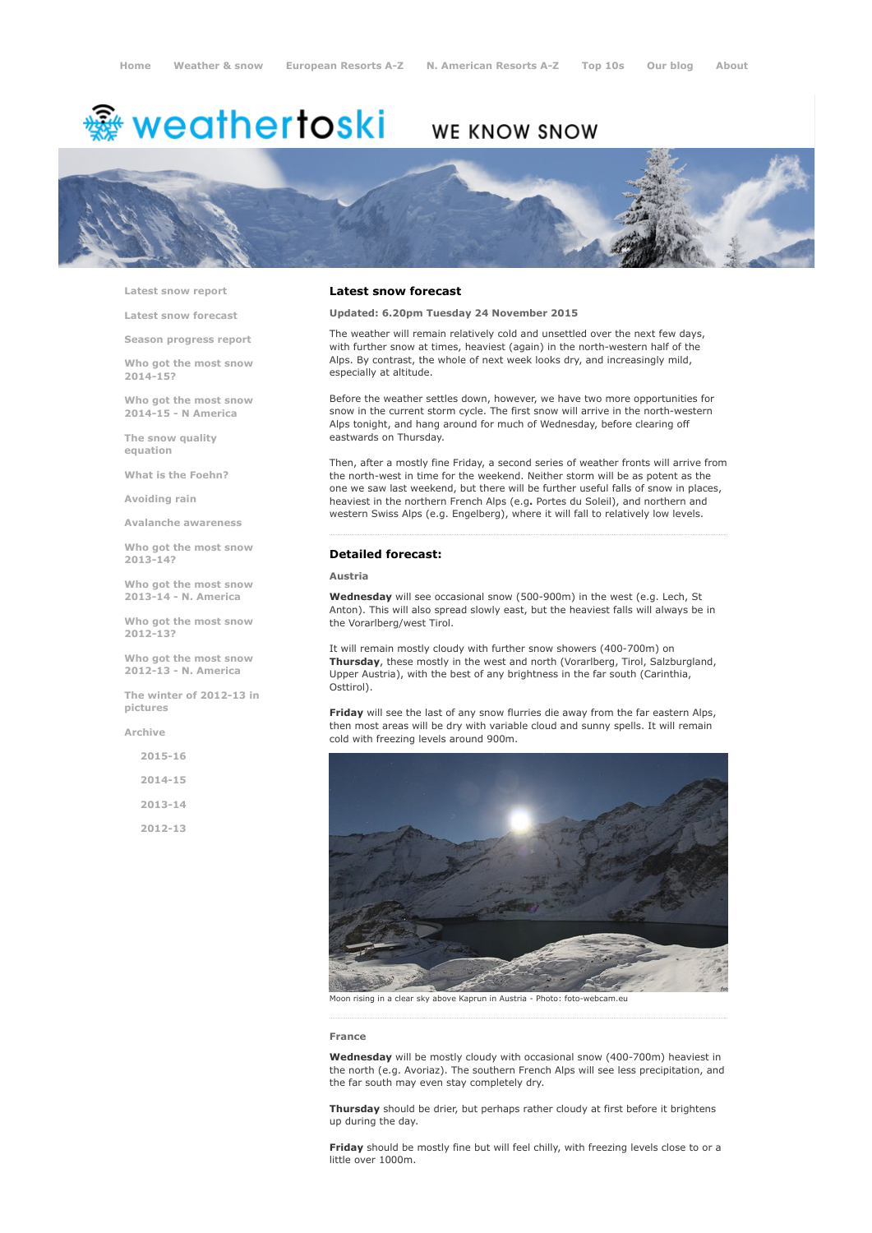# <del>鑾</del> weathertoski

# WE KNOW SNOW



Latest snow [report](http://www.weathertoski.co.uk/weather-snow/latest-snow-report/)

Latest snow [forecast](http://www.weathertoski.co.uk/weather-snow/latest-snow-forecast/)

Season [progress](http://www.weathertoski.co.uk/weather-snow/season-progress-report/) report

Who got the most snow 2014-15?

Who got the most snow 2014-15 - N America

The snow quality [equation](http://www.weathertoski.co.uk/weather-snow/the-snow-quality-equation/)

What is the [Foehn?](http://www.weathertoski.co.uk/weather-snow/what-is-the-foehn/)

[Avoiding](http://www.weathertoski.co.uk/weather-snow/avoiding-rain/) rain

Avalanche [awareness](http://www.weathertoski.co.uk/weather-snow/avalanche-awareness/)

Who got the most snow 2013-14?

Who got the most snow 2013-14 - N. America

Who got the most snow 2012-13?

Who got the most snow 2012-13 - N. America

The winter of 2012-13 in pictures

[Archive](http://www.weathertoski.co.uk/weather-snow/archive/)

2015-16 2014-15

2013-14

2012-13

#### Latest snow forecast

Updated: 6.20pm Tuesday 24 November 2015

The weather will remain relatively cold and unsettled over the next few days, with further snow at times, heaviest (again) in the north-western half of the Alps. By contrast, the whole of next week looks dry, and increasingly mild, especially at altitude.

Before the weather settles down, however, we have two more opportunities for snow in the current storm cycle. The first snow will arrive in the north-western Alps tonight, and hang around for much of Wednesday, before clearing off eastwards on Thursday.

Then, after a mostly fine Friday, a second series of weather fronts will arrive from the north-west in time for the weekend. Neither storm will be as potent as the one we saw last weekend, but there will be further useful falls of snow in places, heaviest in the northern French Alps (e.g. Portes du Soleil), and northern and western Swiss Alps (e.g. Engelberg), where it will fall to relatively low levels.

#### Detailed forecast:

#### Austria

Wednesday will see occasional snow (500-900m) in the west (e.g. Lech, St Anton). This will also spread slowly east, but the heaviest falls will always be in the Vorarlberg/west Tirol.

It will remain mostly cloudy with further snow showers (400-700m) on Thursday, these mostly in the west and north (Vorarlberg, Tirol, Salzburgland, Upper Austria), with the best of any brightness in the far south (Carinthia, Osttirol).

Friday will see the last of any snow flurries die away from the far eastern Alps, then most areas will be dry with variable cloud and sunny spells. It will remain cold with freezing levels around 900m.



Moon rising in a clear sky above Kaprun in Austria - Photo: foto-webcam.eu

#### France

Wednesday will be mostly cloudy with occasional snow (400-700m) heaviest in the north (e.g. Avoriaz). The southern French Alps will see less precipitation, and the far south may even stay completely dry.

Thursday should be drier, but perhaps rather cloudy at first before it brightens up during the day.

Friday should be mostly fine but will feel chilly, with freezing levels close to or a little over 1000m.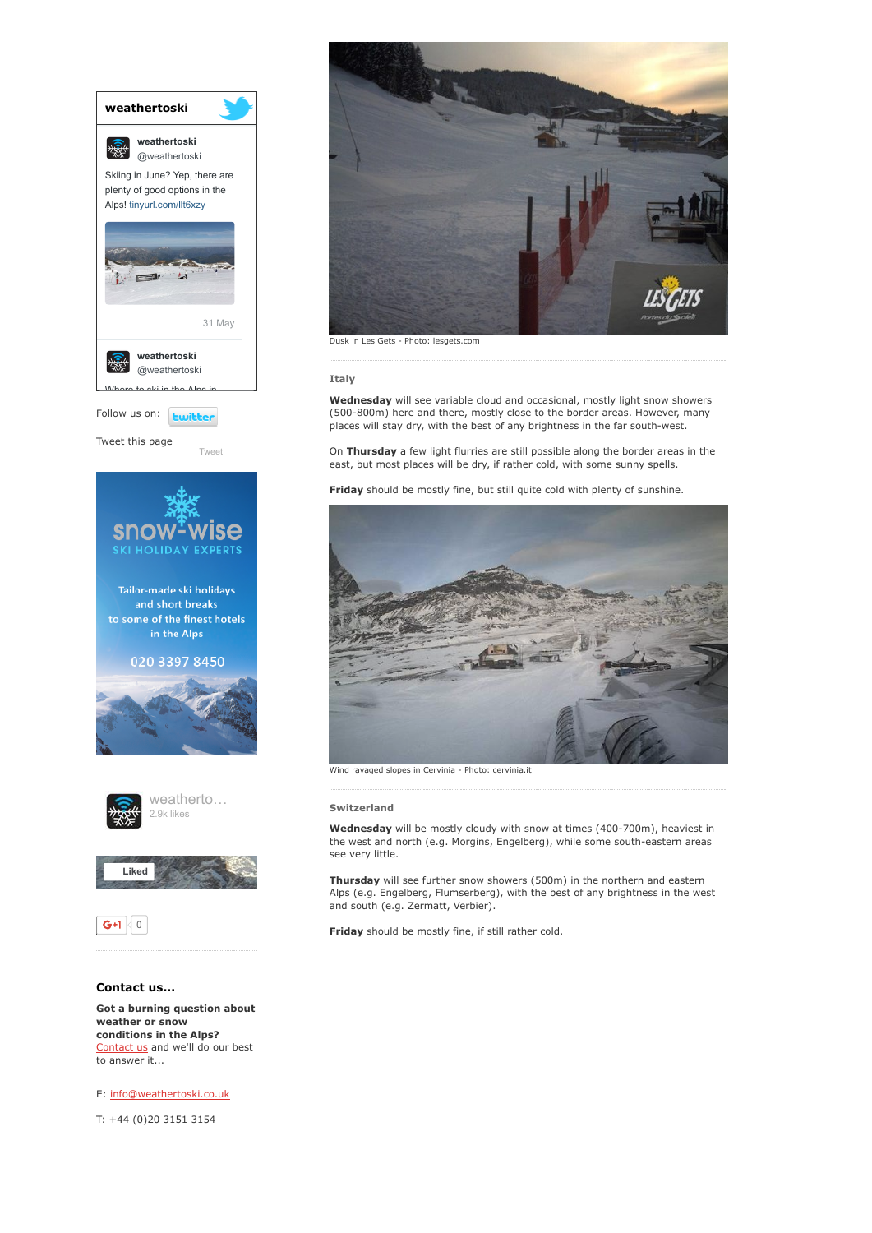

conditions in the Alps? [Contact](http://www.weathertoski.co.uk/about-1/contact-us/) us and we'll do our best to answer it...

E: [info@weathertoski.co.uk](mailto:fraser@weathertoski.co.uk)

T: +44 (0)20 3151 3154



Dusk in Les Gets - Photo: lesgets.com

### Italy

Wednesday will see variable cloud and occasional, mostly light snow showers (500-800m) here and there, mostly close to the border areas. However, many places will stay dry, with the best of any brightness in the far south-west.

On Thursday a few light flurries are still possible along the border areas in the east, but most places will be dry, if rather cold, with some sunny spells.

Friday should be mostly fine, but still quite cold with plenty of sunshine.



#### Switzerland

Wednesday will be mostly cloudy with snow at times (400-700m), heaviest in the west and north (e.g. Morgins, Engelberg), while some south-eastern areas see very little.

Thursday will see further snow showers (500m) in the northern and eastern Alps (e.g. Engelberg, Flumserberg), with the best of any brightness in the west and south (e.g. Zermatt, Verbier).

Friday should be mostly fine, if still rather cold.